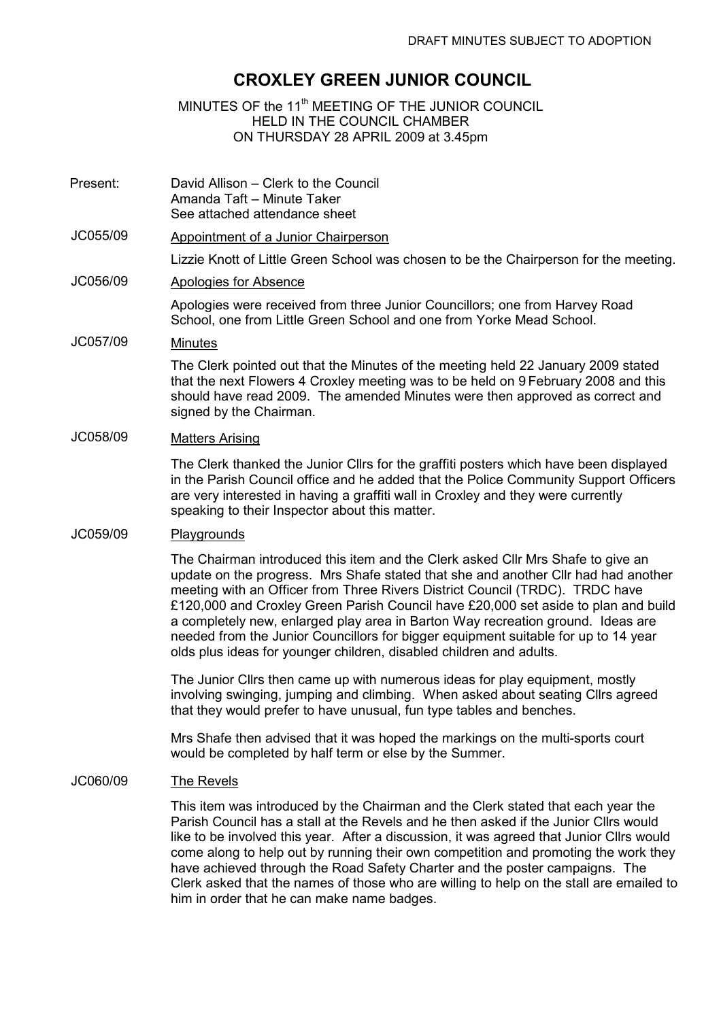# CROXLEY GREEN JUNIOR COUNCIL

# MINUTES OF the 11<sup>th</sup> MEETING OF THE JUNIOR COUNCIL HELD IN THE COUNCIL CHAMBER ON THURSDAY 28 APRIL 2009 at 3.45pm

- Present: David Allison Clerk to the Council Amanda Taft – Minute Taker See attached attendance sheet
- JC055/09 Appointment of a Junior Chairperson

Lizzie Knott of Little Green School was chosen to be the Chairperson for the meeting.

JC056/09 Apologies for Absence

Apologies were received from three Junior Councillors; one from Harvey Road School, one from Little Green School and one from Yorke Mead School.

### JC057/09 Minutes

The Clerk pointed out that the Minutes of the meeting held 22 January 2009 stated that the next Flowers 4 Croxley meeting was to be held on 9 February 2008 and this should have read 2009. The amended Minutes were then approved as correct and signed by the Chairman.

# JC058/09 Matters Arising

The Clerk thanked the Junior Cllrs for the graffiti posters which have been displayed in the Parish Council office and he added that the Police Community Support Officers are very interested in having a graffiti wall in Croxley and they were currently speaking to their Inspector about this matter.

#### JC059/09 Playgrounds

The Chairman introduced this item and the Clerk asked Cllr Mrs Shafe to give an update on the progress. Mrs Shafe stated that she and another Cllr had had another meeting with an Officer from Three Rivers District Council (TRDC). TRDC have £120,000 and Croxley Green Parish Council have £20,000 set aside to plan and build a completely new, enlarged play area in Barton Way recreation ground. Ideas are needed from the Junior Councillors for bigger equipment suitable for up to 14 year olds plus ideas for younger children, disabled children and adults.

The Junior Cllrs then came up with numerous ideas for play equipment, mostly involving swinging, jumping and climbing. When asked about seating Cllrs agreed that they would prefer to have unusual, fun type tables and benches.

Mrs Shafe then advised that it was hoped the markings on the multi-sports court would be completed by half term or else by the Summer.

#### JC060/09 The Revels

This item was introduced by the Chairman and the Clerk stated that each year the Parish Council has a stall at the Revels and he then asked if the Junior Cllrs would like to be involved this year. After a discussion, it was agreed that Junior Cllrs would come along to help out by running their own competition and promoting the work they have achieved through the Road Safety Charter and the poster campaigns. The Clerk asked that the names of those who are willing to help on the stall are emailed to him in order that he can make name badges.